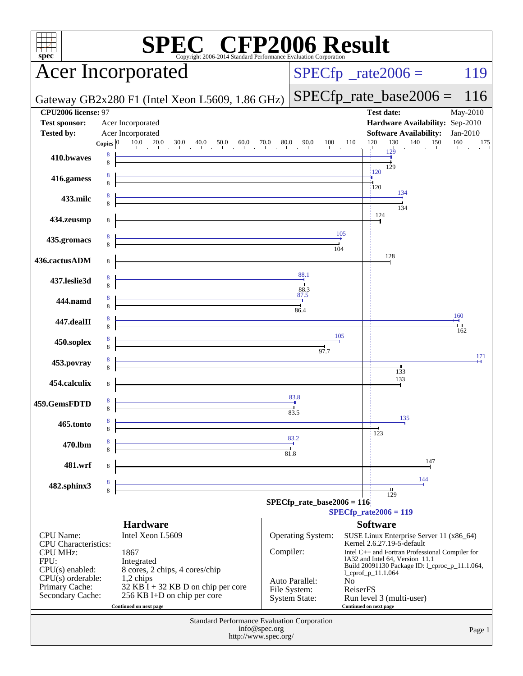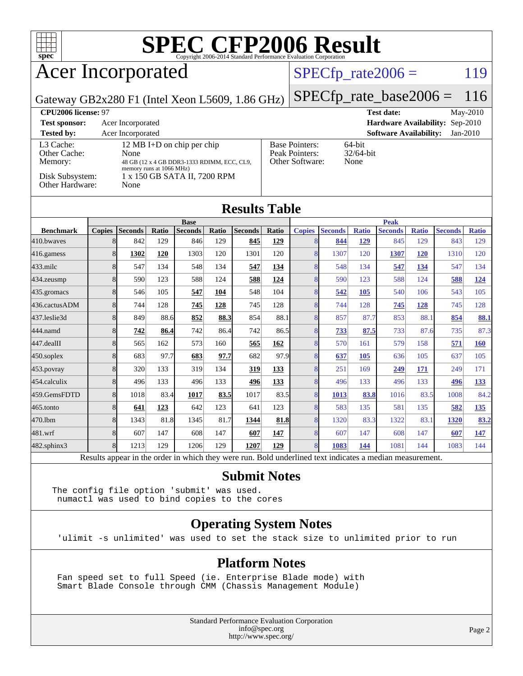

### Acer Incorporated

#### $SPECTp_rate2006 = 119$

Gateway GB2x280 F1 (Intel Xeon L5609, 1.86 GHz)

[SPECfp\\_rate\\_base2006 =](http://www.spec.org/auto/cpu2006/Docs/result-fields.html#SPECfpratebase2006) 116

| CPU <sub>2006</sub> license: 97      |                                                                                                               |                                                            | $Mav-2010$<br><b>Test date:</b>             |
|--------------------------------------|---------------------------------------------------------------------------------------------------------------|------------------------------------------------------------|---------------------------------------------|
| <b>Test sponsor:</b>                 | Acer Incorporated                                                                                             |                                                            | Hardware Availability: Sep-2010             |
| <b>Tested by:</b>                    | Acer Incorporated                                                                                             |                                                            | <b>Software Availability:</b><br>$Jan-2010$ |
| L3 Cache:<br>Other Cache:<br>Memory: | 12 MB I+D on chip per chip<br>None<br>48 GB (12 x 4 GB DDR3-1333 RDIMM, ECC, CL9,<br>memory runs at 1066 MHz) | <b>Base Pointers:</b><br>Peak Pointers:<br>Other Software: | 64-bit<br>$32/64$ -bit<br>None              |
| Disk Subsystem:<br>Other Hardware:   | 1 x 150 GB SATA II, 7200 RPM<br>None                                                                          |                                                            |                                             |

**[Results Table](http://www.spec.org/auto/cpu2006/Docs/result-fields.html#ResultsTable)**

| Results Table    |               |                |       |                |             |                |       |                |                |              |                |              |                |              |
|------------------|---------------|----------------|-------|----------------|-------------|----------------|-------|----------------|----------------|--------------|----------------|--------------|----------------|--------------|
|                  | <b>Base</b>   |                |       |                | <b>Peak</b> |                |       |                |                |              |                |              |                |              |
| <b>Benchmark</b> | <b>Copies</b> | <b>Seconds</b> | Ratio | <b>Seconds</b> | Ratio       | <b>Seconds</b> | Ratio | <b>Copies</b>  | <b>Seconds</b> | <b>Ratio</b> | <b>Seconds</b> | <b>Ratio</b> | <b>Seconds</b> | <b>Ratio</b> |
| 410.bwayes       | 8             | 842            | 129   | 846            | 129         | 845            | 129   | 8              | 844            | <u>129</u>   | 845            | 129          | 843            | 129          |
| 416.gamess       | 8             | 1302           | 120   | 1303           | 120         | 1301           | 120   | $\overline{8}$ | 1307           | 120          | 1307           | 120          | 1310           | 120          |
| $433$ .milc      | 8             | 547            | 134   | 548            | 134         | 547            | 134   | 8              | 548            | 134          | 547            | 134          | 547            | 134          |
| 434.zeusmp       | 8             | 590            | 123   | 588            | 124         | 588            | 124   | 8              | 590            | 123          | 588            | 124          | 588            | 124          |
| 435.gromacs      | 8             | 546            | 105   | 547            | 104         | 548            | 104   | 8              | 542            | 105          | 540            | 106          | 543            | 105          |
| 436.cactusADM    | 8             | 744            | 128   | 745            | 128         | 745            | 128   | 8              | 744            | 128          | 745            | <u>128</u>   | 745            | 128          |
| 437.leslie3d     | 8             | 849            | 88.6  | 852            | 88.3        | 854            | 88.1  | 8              | 857            | 87.7         | 853            | 88.1         | 854            | 88.1         |
| 444.namd         | 8             | 742            | 86.4  | 742            | 86.4        | 742            | 86.5  | 8              | 733            | 87.5         | 733            | 87.6         | 735            | 87.3         |
| 447.dealII       | 8             | 565            | 162   | 573            | 160         | 565            | 162   | 8              | 570            | 161          | 579            | 158          | 571            | 160          |
| 450.soplex       | 8             | 683            | 97.7  | 683            | 97.7        | 682            | 97.9  | 8              | 637            | <b>105</b>   | 636            | 105          | 637            | 105          |
| $453$ .povray    | 8             | 320            | 133   | 319            | 134         | 319            | 133   | 8              | 251            | 169          | 249            | 171          | 249            | 171          |
| 454.calculix     | 8             | 496            | 133   | 496            | 133         | 496            | 133   | 8              | 496            | 133          | 496            | 133          | 496            | <u>133</u>   |
| 459.GemsFDTD     | 8             | 1018           | 83.4  | 1017           | 83.5        | 1017           | 83.5  | $\overline{8}$ | 1013           | 83.8         | 1016           | 83.5         | 1008           | 84.2         |
| 465.tonto        | 8             | 641            | 123   | 642            | 123         | 641            | 123   | 8              | 583            | 135          | 581            | 135          | 582            | <u>135</u>   |
| 470.1bm          | 8             | 1343           | 81.8  | 1345           | 81.7        | 1344           | 81.8  | 8              | 1320           | 83.3         | 1322           | 83.1         | 1320           | 83.2         |
| 481.wrf          | 8             | 607            | 147   | 608            | 147         | 607            | 147   | 8              | 607            | 147          | 608            | 147          | 607            | 147          |
| 482.sphinx3      | 8             | 1213           | 129   | 1206           | 129         | 1207           | 129   | 8              | 1083           | 144          | 1081           | 144          | 1083           | 144          |

Results appear in the [order in which they were run.](http://www.spec.org/auto/cpu2006/Docs/result-fields.html#RunOrder) Bold underlined text [indicates a median measurement.](http://www.spec.org/auto/cpu2006/Docs/result-fields.html#Median)

#### **[Submit Notes](http://www.spec.org/auto/cpu2006/Docs/result-fields.html#SubmitNotes)**

The config file option 'submit' was used. numactl was used to bind copies to the cores

#### **[Operating System Notes](http://www.spec.org/auto/cpu2006/Docs/result-fields.html#OperatingSystemNotes)**

'ulimit -s unlimited' was used to set the stack size to unlimited prior to run

#### **[Platform Notes](http://www.spec.org/auto/cpu2006/Docs/result-fields.html#PlatformNotes)**

 Fan speed set to full Speed (ie. Enterprise Blade mode) with Smart Blade Console through CMM (Chassis Management Module)

> Standard Performance Evaluation Corporation [info@spec.org](mailto:info@spec.org) <http://www.spec.org/>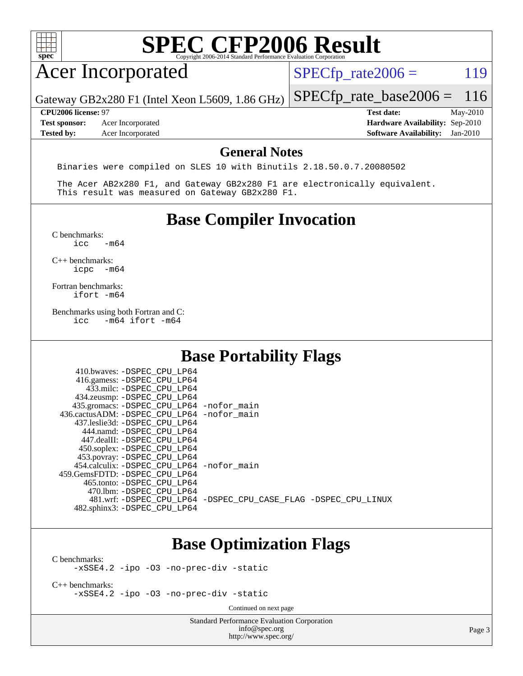| ٠ |  |  |  |  |
|---|--|--|--|--|

### Acer Incorporated

 $SPECTp_rate2006 = 119$ 

Gateway GB2x280 F1 (Intel Xeon L5609, 1.86 GHz)

**[Tested by:](http://www.spec.org/auto/cpu2006/Docs/result-fields.html#Testedby)** Acer Incorporated **[Software Availability:](http://www.spec.org/auto/cpu2006/Docs/result-fields.html#SoftwareAvailability)** Jan-2010

[SPECfp\\_rate\\_base2006 =](http://www.spec.org/auto/cpu2006/Docs/result-fields.html#SPECfpratebase2006) 116 **[CPU2006 license:](http://www.spec.org/auto/cpu2006/Docs/result-fields.html#CPU2006license)** 97 **[Test date:](http://www.spec.org/auto/cpu2006/Docs/result-fields.html#Testdate)** May-2010 **[Test sponsor:](http://www.spec.org/auto/cpu2006/Docs/result-fields.html#Testsponsor)** Acer Incorporated **[Hardware Availability:](http://www.spec.org/auto/cpu2006/Docs/result-fields.html#HardwareAvailability)** Sep-2010

#### **[General Notes](http://www.spec.org/auto/cpu2006/Docs/result-fields.html#GeneralNotes)**

Binaries were compiled on SLES 10 with Binutils 2.18.50.0.7.20080502

 The Acer AB2x280 F1, and Gateway GB2x280 F1 are electronically equivalent. This result was measured on Gateway GB2x280 F1.

#### **[Base Compiler Invocation](http://www.spec.org/auto/cpu2006/Docs/result-fields.html#BaseCompilerInvocation)**

 $C$  benchmarks:<br>icc  $-m64$ 

[C++ benchmarks:](http://www.spec.org/auto/cpu2006/Docs/result-fields.html#CXXbenchmarks) [icpc -m64](http://www.spec.org/cpu2006/results/res2010q3/cpu2006-20100715-12390.flags.html#user_CXXbase_intel_icpc_64bit_bedb90c1146cab66620883ef4f41a67e)

[Fortran benchmarks](http://www.spec.org/auto/cpu2006/Docs/result-fields.html#Fortranbenchmarks): [ifort -m64](http://www.spec.org/cpu2006/results/res2010q3/cpu2006-20100715-12390.flags.html#user_FCbase_intel_ifort_64bit_ee9d0fb25645d0210d97eb0527dcc06e)

[Benchmarks using both Fortran and C](http://www.spec.org/auto/cpu2006/Docs/result-fields.html#BenchmarksusingbothFortranandC):<br>icc -m64 if ort -m64  $-m64$  ifort  $-m64$ 

#### **[Base Portability Flags](http://www.spec.org/auto/cpu2006/Docs/result-fields.html#BasePortabilityFlags)**

| 410.bwaves: -DSPEC CPU LP64<br>416.gamess: -DSPEC_CPU_LP64<br>433.milc: -DSPEC CPU LP64<br>434.zeusmp: -DSPEC_CPU_LP64<br>435.gromacs: -DSPEC_CPU_LP64 -nofor_main<br>436.cactusADM: - DSPEC CPU LP64 - nofor main<br>437.leslie3d: -DSPEC CPU LP64<br>444.namd: - DSPEC CPU LP64 |                                                                |
|-----------------------------------------------------------------------------------------------------------------------------------------------------------------------------------------------------------------------------------------------------------------------------------|----------------------------------------------------------------|
| 447.dealII: -DSPEC CPU LP64<br>450.soplex: -DSPEC_CPU_LP64<br>453.povray: - DSPEC_CPU_LP64<br>454.calculix: - DSPEC CPU LP64 - nofor main<br>459. GemsFDTD: - DSPEC CPU LP64<br>465.tonto: - DSPEC CPU LP64                                                                       |                                                                |
| 470.1bm: - DSPEC CPU LP64<br>482.sphinx3: -DSPEC_CPU_LP64                                                                                                                                                                                                                         | 481.wrf: -DSPEC_CPU_LP64 -DSPEC_CPU_CASE_FLAG -DSPEC_CPU_LINUX |

#### **[Base Optimization Flags](http://www.spec.org/auto/cpu2006/Docs/result-fields.html#BaseOptimizationFlags)**

[C benchmarks](http://www.spec.org/auto/cpu2006/Docs/result-fields.html#Cbenchmarks):

[-xSSE4.2](http://www.spec.org/cpu2006/results/res2010q3/cpu2006-20100715-12390.flags.html#user_CCbase_f-xSSE42_f91528193cf0b216347adb8b939d4107) [-ipo](http://www.spec.org/cpu2006/results/res2010q3/cpu2006-20100715-12390.flags.html#user_CCbase_f-ipo) [-O3](http://www.spec.org/cpu2006/results/res2010q3/cpu2006-20100715-12390.flags.html#user_CCbase_f-O3) [-no-prec-div](http://www.spec.org/cpu2006/results/res2010q3/cpu2006-20100715-12390.flags.html#user_CCbase_f-no-prec-div) [-static](http://www.spec.org/cpu2006/results/res2010q3/cpu2006-20100715-12390.flags.html#user_CCbase_f-static)

[C++ benchmarks:](http://www.spec.org/auto/cpu2006/Docs/result-fields.html#CXXbenchmarks) [-xSSE4.2](http://www.spec.org/cpu2006/results/res2010q3/cpu2006-20100715-12390.flags.html#user_CXXbase_f-xSSE42_f91528193cf0b216347adb8b939d4107) [-ipo](http://www.spec.org/cpu2006/results/res2010q3/cpu2006-20100715-12390.flags.html#user_CXXbase_f-ipo) [-O3](http://www.spec.org/cpu2006/results/res2010q3/cpu2006-20100715-12390.flags.html#user_CXXbase_f-O3) [-no-prec-div](http://www.spec.org/cpu2006/results/res2010q3/cpu2006-20100715-12390.flags.html#user_CXXbase_f-no-prec-div) [-static](http://www.spec.org/cpu2006/results/res2010q3/cpu2006-20100715-12390.flags.html#user_CXXbase_f-static)

Continued on next page

Standard Performance Evaluation Corporation [info@spec.org](mailto:info@spec.org) <http://www.spec.org/>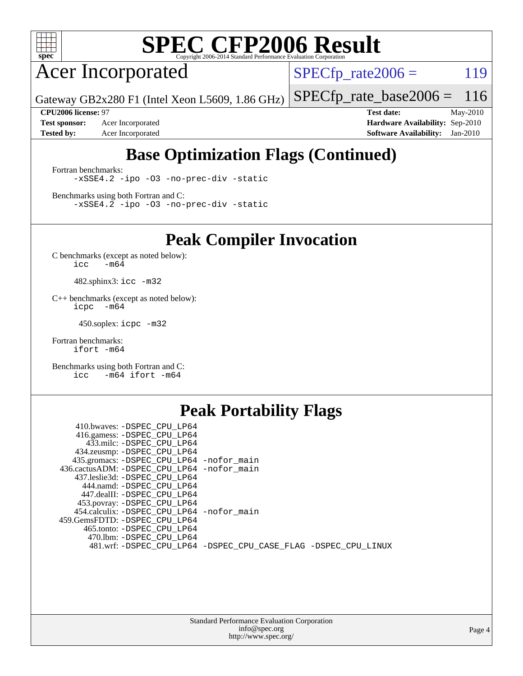

Acer Incorporated

 $SPECTp_rate2006 = 119$ 

Gateway GB2x280 F1 (Intel Xeon L5609, 1.86 GHz)

[SPECfp\\_rate\\_base2006 =](http://www.spec.org/auto/cpu2006/Docs/result-fields.html#SPECfpratebase2006) 116

**[Test sponsor:](http://www.spec.org/auto/cpu2006/Docs/result-fields.html#Testsponsor)** Acer Incorporated **[Hardware Availability:](http://www.spec.org/auto/cpu2006/Docs/result-fields.html#HardwareAvailability)** Sep-2010 **[Tested by:](http://www.spec.org/auto/cpu2006/Docs/result-fields.html#Testedby)** Acer Incorporated **[Software Availability:](http://www.spec.org/auto/cpu2006/Docs/result-fields.html#SoftwareAvailability)** Jan-2010

**[CPU2006 license:](http://www.spec.org/auto/cpu2006/Docs/result-fields.html#CPU2006license)** 97 **[Test date:](http://www.spec.org/auto/cpu2006/Docs/result-fields.html#Testdate)** May-2010

#### **[Base Optimization Flags \(Continued\)](http://www.spec.org/auto/cpu2006/Docs/result-fields.html#BaseOptimizationFlags)**

[Fortran benchmarks](http://www.spec.org/auto/cpu2006/Docs/result-fields.html#Fortranbenchmarks): [-xSSE4.2](http://www.spec.org/cpu2006/results/res2010q3/cpu2006-20100715-12390.flags.html#user_FCbase_f-xSSE42_f91528193cf0b216347adb8b939d4107) [-ipo](http://www.spec.org/cpu2006/results/res2010q3/cpu2006-20100715-12390.flags.html#user_FCbase_f-ipo) [-O3](http://www.spec.org/cpu2006/results/res2010q3/cpu2006-20100715-12390.flags.html#user_FCbase_f-O3) [-no-prec-div](http://www.spec.org/cpu2006/results/res2010q3/cpu2006-20100715-12390.flags.html#user_FCbase_f-no-prec-div) [-static](http://www.spec.org/cpu2006/results/res2010q3/cpu2006-20100715-12390.flags.html#user_FCbase_f-static)

[Benchmarks using both Fortran and C](http://www.spec.org/auto/cpu2006/Docs/result-fields.html#BenchmarksusingbothFortranandC): [-xSSE4.2](http://www.spec.org/cpu2006/results/res2010q3/cpu2006-20100715-12390.flags.html#user_CC_FCbase_f-xSSE42_f91528193cf0b216347adb8b939d4107) [-ipo](http://www.spec.org/cpu2006/results/res2010q3/cpu2006-20100715-12390.flags.html#user_CC_FCbase_f-ipo) [-O3](http://www.spec.org/cpu2006/results/res2010q3/cpu2006-20100715-12390.flags.html#user_CC_FCbase_f-O3) [-no-prec-div](http://www.spec.org/cpu2006/results/res2010q3/cpu2006-20100715-12390.flags.html#user_CC_FCbase_f-no-prec-div) [-static](http://www.spec.org/cpu2006/results/res2010q3/cpu2006-20100715-12390.flags.html#user_CC_FCbase_f-static)

**[Peak Compiler Invocation](http://www.spec.org/auto/cpu2006/Docs/result-fields.html#PeakCompilerInvocation)**

[C benchmarks \(except as noted below\)](http://www.spec.org/auto/cpu2006/Docs/result-fields.html#Cbenchmarksexceptasnotedbelow):  $\text{icc}$  -m64

482.sphinx3: [icc -m32](http://www.spec.org/cpu2006/results/res2010q3/cpu2006-20100715-12390.flags.html#user_peakCCLD482_sphinx3_intel_icc_32bit_a6a621f8d50482236b970c6ac5f55f93)

[C++ benchmarks \(except as noted below\):](http://www.spec.org/auto/cpu2006/Docs/result-fields.html#CXXbenchmarksexceptasnotedbelow) [icpc -m64](http://www.spec.org/cpu2006/results/res2010q3/cpu2006-20100715-12390.flags.html#user_CXXpeak_intel_icpc_64bit_bedb90c1146cab66620883ef4f41a67e)

450.soplex: [icpc -m32](http://www.spec.org/cpu2006/results/res2010q3/cpu2006-20100715-12390.flags.html#user_peakCXXLD450_soplex_intel_icpc_32bit_4e5a5ef1a53fd332b3c49e69c3330699)

[Fortran benchmarks](http://www.spec.org/auto/cpu2006/Docs/result-fields.html#Fortranbenchmarks): [ifort -m64](http://www.spec.org/cpu2006/results/res2010q3/cpu2006-20100715-12390.flags.html#user_FCpeak_intel_ifort_64bit_ee9d0fb25645d0210d97eb0527dcc06e)

[Benchmarks using both Fortran and C](http://www.spec.org/auto/cpu2006/Docs/result-fields.html#BenchmarksusingbothFortranandC): [icc -m64](http://www.spec.org/cpu2006/results/res2010q3/cpu2006-20100715-12390.flags.html#user_CC_FCpeak_intel_icc_64bit_0b7121f5ab7cfabee23d88897260401c) [ifort -m64](http://www.spec.org/cpu2006/results/res2010q3/cpu2006-20100715-12390.flags.html#user_CC_FCpeak_intel_ifort_64bit_ee9d0fb25645d0210d97eb0527dcc06e)

#### **[Peak Portability Flags](http://www.spec.org/auto/cpu2006/Docs/result-fields.html#PeakPortabilityFlags)**

| 410.bwaves: -DSPEC CPU LP64                                    |  |
|----------------------------------------------------------------|--|
| 416.gamess: -DSPEC_CPU_LP64                                    |  |
| 433.milc: -DSPEC CPU LP64                                      |  |
| 434.zeusmp: -DSPEC_CPU_LP64                                    |  |
| 435.gromacs: -DSPEC_CPU_LP64 -nofor_main                       |  |
| 436.cactusADM: -DSPEC CPU LP64 -nofor main                     |  |
| 437.leslie3d: -DSPEC CPU LP64                                  |  |
| 444.namd: -DSPEC_CPU_LP64                                      |  |
| 447.dealII: -DSPEC CPU LP64                                    |  |
| 453.povray: -DSPEC_CPU_LP64                                    |  |
| 454.calculix: -DSPEC_CPU_LP64 -nofor_main                      |  |
| 459.GemsFDTD: -DSPEC CPU LP64                                  |  |
| 465.tonto: - DSPEC CPU LP64                                    |  |
| 470.1bm: - DSPEC CPU LP64                                      |  |
| 481.wrf: -DSPEC_CPU_LP64 -DSPEC_CPU_CASE_FLAG -DSPEC_CPU_LINUX |  |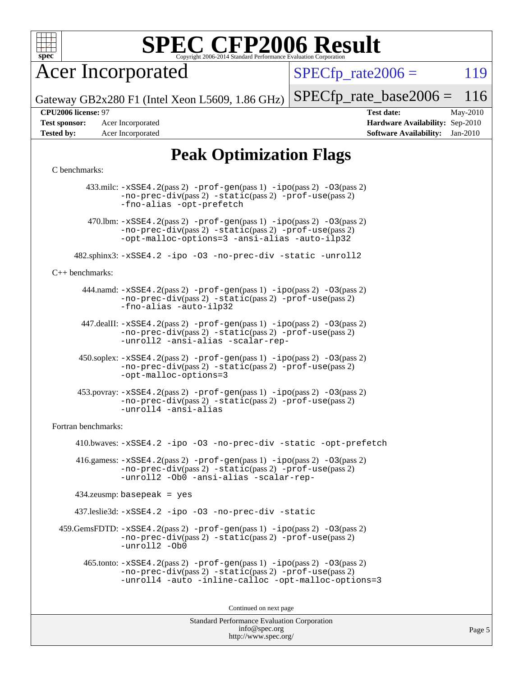

Acer Incorporated

 $SPECTp\_rate2006 = 119$ 

Gateway GB2x280 F1 (Intel Xeon L5609, 1.86 GHz)

**[Test sponsor:](http://www.spec.org/auto/cpu2006/Docs/result-fields.html#Testsponsor)** Acer Incorporated **[Hardware Availability:](http://www.spec.org/auto/cpu2006/Docs/result-fields.html#HardwareAvailability)** Sep-2010 **[Tested by:](http://www.spec.org/auto/cpu2006/Docs/result-fields.html#Testedby)** Acer Incorporated **[Software Availability:](http://www.spec.org/auto/cpu2006/Docs/result-fields.html#SoftwareAvailability)** Jan-2010

**[CPU2006 license:](http://www.spec.org/auto/cpu2006/Docs/result-fields.html#CPU2006license)** 97 **[Test date:](http://www.spec.org/auto/cpu2006/Docs/result-fields.html#Testdate)** May-2010

[SPECfp\\_rate\\_base2006 =](http://www.spec.org/auto/cpu2006/Docs/result-fields.html#SPECfpratebase2006) 116

#### **[Peak Optimization Flags](http://www.spec.org/auto/cpu2006/Docs/result-fields.html#PeakOptimizationFlags)**

#### [C benchmarks](http://www.spec.org/auto/cpu2006/Docs/result-fields.html#Cbenchmarks):

Standard Performance Evaluation Corporation 433.milc: [-xSSE4.2](http://www.spec.org/cpu2006/results/res2010q3/cpu2006-20100715-12390.flags.html#user_peakPASS2_CFLAGSPASS2_LDFLAGS433_milc_f-xSSE42_f91528193cf0b216347adb8b939d4107)(pass 2) [-prof-gen](http://www.spec.org/cpu2006/results/res2010q3/cpu2006-20100715-12390.flags.html#user_peakPASS1_CFLAGSPASS1_LDFLAGS433_milc_prof_gen_e43856698f6ca7b7e442dfd80e94a8fc)(pass 1) [-ipo](http://www.spec.org/cpu2006/results/res2010q3/cpu2006-20100715-12390.flags.html#user_peakPASS2_CFLAGSPASS2_LDFLAGS433_milc_f-ipo)(pass 2) [-O3](http://www.spec.org/cpu2006/results/res2010q3/cpu2006-20100715-12390.flags.html#user_peakPASS2_CFLAGSPASS2_LDFLAGS433_milc_f-O3)(pass 2) [-no-prec-div](http://www.spec.org/cpu2006/results/res2010q3/cpu2006-20100715-12390.flags.html#user_peakPASS2_CFLAGSPASS2_LDFLAGS433_milc_f-no-prec-div)(pass 2) [-static](http://www.spec.org/cpu2006/results/res2010q3/cpu2006-20100715-12390.flags.html#user_peakPASS2_CFLAGSPASS2_LDFLAGS433_milc_f-static)(pass 2) [-prof-use](http://www.spec.org/cpu2006/results/res2010q3/cpu2006-20100715-12390.flags.html#user_peakPASS2_CFLAGSPASS2_LDFLAGS433_milc_prof_use_bccf7792157ff70d64e32fe3e1250b55)(pass 2) [-fno-alias](http://www.spec.org/cpu2006/results/res2010q3/cpu2006-20100715-12390.flags.html#user_peakOPTIMIZE433_milc_f-no-alias_694e77f6c5a51e658e82ccff53a9e63a) [-opt-prefetch](http://www.spec.org/cpu2006/results/res2010q3/cpu2006-20100715-12390.flags.html#user_peakOPTIMIZE433_milc_f-opt-prefetch) 470.1bm:  $-xSSE4$ . 2(pass 2)  $-prof-gen(pass 1) -ipo(pass 2) -O3(pass 2)$  $-prof-gen(pass 1) -ipo(pass 2) -O3(pass 2)$  $-prof-gen(pass 1) -ipo(pass 2) -O3(pass 2)$  $-prof-gen(pass 1) -ipo(pass 2) -O3(pass 2)$  $-prof-gen(pass 1) -ipo(pass 2) -O3(pass 2)$  $-prof-gen(pass 1) -ipo(pass 2) -O3(pass 2)$ [-no-prec-div](http://www.spec.org/cpu2006/results/res2010q3/cpu2006-20100715-12390.flags.html#user_peakPASS2_CFLAGSPASS2_LDFLAGS470_lbm_f-no-prec-div)(pass 2) [-static](http://www.spec.org/cpu2006/results/res2010q3/cpu2006-20100715-12390.flags.html#user_peakPASS2_CFLAGSPASS2_LDFLAGS470_lbm_f-static)(pass 2) [-prof-use](http://www.spec.org/cpu2006/results/res2010q3/cpu2006-20100715-12390.flags.html#user_peakPASS2_CFLAGSPASS2_LDFLAGS470_lbm_prof_use_bccf7792157ff70d64e32fe3e1250b55)(pass 2) [-opt-malloc-options=3](http://www.spec.org/cpu2006/results/res2010q3/cpu2006-20100715-12390.flags.html#user_peakOPTIMIZE470_lbm_f-opt-malloc-options_13ab9b803cf986b4ee62f0a5998c2238) [-ansi-alias](http://www.spec.org/cpu2006/results/res2010q3/cpu2006-20100715-12390.flags.html#user_peakOPTIMIZE470_lbm_f-ansi-alias) [-auto-ilp32](http://www.spec.org/cpu2006/results/res2010q3/cpu2006-20100715-12390.flags.html#user_peakCOPTIMIZE470_lbm_f-auto-ilp32) 482.sphinx3: [-xSSE4.2](http://www.spec.org/cpu2006/results/res2010q3/cpu2006-20100715-12390.flags.html#user_peakOPTIMIZE482_sphinx3_f-xSSE42_f91528193cf0b216347adb8b939d4107) [-ipo](http://www.spec.org/cpu2006/results/res2010q3/cpu2006-20100715-12390.flags.html#user_peakOPTIMIZE482_sphinx3_f-ipo) [-O3](http://www.spec.org/cpu2006/results/res2010q3/cpu2006-20100715-12390.flags.html#user_peakOPTIMIZE482_sphinx3_f-O3) [-no-prec-div](http://www.spec.org/cpu2006/results/res2010q3/cpu2006-20100715-12390.flags.html#user_peakOPTIMIZE482_sphinx3_f-no-prec-div) [-static](http://www.spec.org/cpu2006/results/res2010q3/cpu2006-20100715-12390.flags.html#user_peakOPTIMIZE482_sphinx3_f-static) [-unroll2](http://www.spec.org/cpu2006/results/res2010q3/cpu2006-20100715-12390.flags.html#user_peakCOPTIMIZE482_sphinx3_f-unroll_784dae83bebfb236979b41d2422d7ec2) [C++ benchmarks:](http://www.spec.org/auto/cpu2006/Docs/result-fields.html#CXXbenchmarks) 444.namd: [-xSSE4.2](http://www.spec.org/cpu2006/results/res2010q3/cpu2006-20100715-12390.flags.html#user_peakPASS2_CXXFLAGSPASS2_LDFLAGS444_namd_f-xSSE42_f91528193cf0b216347adb8b939d4107)(pass 2) [-prof-gen](http://www.spec.org/cpu2006/results/res2010q3/cpu2006-20100715-12390.flags.html#user_peakPASS1_CXXFLAGSPASS1_LDFLAGS444_namd_prof_gen_e43856698f6ca7b7e442dfd80e94a8fc)(pass 1) [-ipo](http://www.spec.org/cpu2006/results/res2010q3/cpu2006-20100715-12390.flags.html#user_peakPASS2_CXXFLAGSPASS2_LDFLAGS444_namd_f-ipo)(pass 2) [-O3](http://www.spec.org/cpu2006/results/res2010q3/cpu2006-20100715-12390.flags.html#user_peakPASS2_CXXFLAGSPASS2_LDFLAGS444_namd_f-O3)(pass 2) [-no-prec-div](http://www.spec.org/cpu2006/results/res2010q3/cpu2006-20100715-12390.flags.html#user_peakPASS2_CXXFLAGSPASS2_LDFLAGS444_namd_f-no-prec-div)(pass 2) [-static](http://www.spec.org/cpu2006/results/res2010q3/cpu2006-20100715-12390.flags.html#user_peakPASS2_CXXFLAGSPASS2_LDFLAGS444_namd_f-static)(pass 2) [-prof-use](http://www.spec.org/cpu2006/results/res2010q3/cpu2006-20100715-12390.flags.html#user_peakPASS2_CXXFLAGSPASS2_LDFLAGS444_namd_prof_use_bccf7792157ff70d64e32fe3e1250b55)(pass 2) [-fno-alias](http://www.spec.org/cpu2006/results/res2010q3/cpu2006-20100715-12390.flags.html#user_peakCXXOPTIMIZE444_namd_f-no-alias_694e77f6c5a51e658e82ccff53a9e63a) [-auto-ilp32](http://www.spec.org/cpu2006/results/res2010q3/cpu2006-20100715-12390.flags.html#user_peakCXXOPTIMIZE444_namd_f-auto-ilp32) 447.dealII: [-xSSE4.2](http://www.spec.org/cpu2006/results/res2010q3/cpu2006-20100715-12390.flags.html#user_peakPASS2_CXXFLAGSPASS2_LDFLAGS447_dealII_f-xSSE42_f91528193cf0b216347adb8b939d4107)(pass 2) [-prof-gen](http://www.spec.org/cpu2006/results/res2010q3/cpu2006-20100715-12390.flags.html#user_peakPASS1_CXXFLAGSPASS1_LDFLAGS447_dealII_prof_gen_e43856698f6ca7b7e442dfd80e94a8fc)(pass 1) [-ipo](http://www.spec.org/cpu2006/results/res2010q3/cpu2006-20100715-12390.flags.html#user_peakPASS2_CXXFLAGSPASS2_LDFLAGS447_dealII_f-ipo)(pass 2) [-O3](http://www.spec.org/cpu2006/results/res2010q3/cpu2006-20100715-12390.flags.html#user_peakPASS2_CXXFLAGSPASS2_LDFLAGS447_dealII_f-O3)(pass 2) [-no-prec-div](http://www.spec.org/cpu2006/results/res2010q3/cpu2006-20100715-12390.flags.html#user_peakPASS2_CXXFLAGSPASS2_LDFLAGS447_dealII_f-no-prec-div)(pass 2) [-static](http://www.spec.org/cpu2006/results/res2010q3/cpu2006-20100715-12390.flags.html#user_peakPASS2_CXXFLAGSPASS2_LDFLAGS447_dealII_f-static)(pass 2) [-prof-use](http://www.spec.org/cpu2006/results/res2010q3/cpu2006-20100715-12390.flags.html#user_peakPASS2_CXXFLAGSPASS2_LDFLAGS447_dealII_prof_use_bccf7792157ff70d64e32fe3e1250b55)(pass 2) [-unroll2](http://www.spec.org/cpu2006/results/res2010q3/cpu2006-20100715-12390.flags.html#user_peakCXXOPTIMIZE447_dealII_f-unroll_784dae83bebfb236979b41d2422d7ec2) [-ansi-alias](http://www.spec.org/cpu2006/results/res2010q3/cpu2006-20100715-12390.flags.html#user_peakCXXOPTIMIZE447_dealII_f-ansi-alias) [-scalar-rep-](http://www.spec.org/cpu2006/results/res2010q3/cpu2006-20100715-12390.flags.html#user_peakCXXOPTIMIZE447_dealII_f-disablescalarrep_abbcad04450fb118e4809c81d83c8a1d) 450.soplex: [-xSSE4.2](http://www.spec.org/cpu2006/results/res2010q3/cpu2006-20100715-12390.flags.html#user_peakPASS2_CXXFLAGSPASS2_LDFLAGS450_soplex_f-xSSE42_f91528193cf0b216347adb8b939d4107)(pass 2) [-prof-gen](http://www.spec.org/cpu2006/results/res2010q3/cpu2006-20100715-12390.flags.html#user_peakPASS1_CXXFLAGSPASS1_LDFLAGS450_soplex_prof_gen_e43856698f6ca7b7e442dfd80e94a8fc)(pass 1) [-ipo](http://www.spec.org/cpu2006/results/res2010q3/cpu2006-20100715-12390.flags.html#user_peakPASS2_CXXFLAGSPASS2_LDFLAGS450_soplex_f-ipo)(pass 2) [-O3](http://www.spec.org/cpu2006/results/res2010q3/cpu2006-20100715-12390.flags.html#user_peakPASS2_CXXFLAGSPASS2_LDFLAGS450_soplex_f-O3)(pass 2) [-no-prec-div](http://www.spec.org/cpu2006/results/res2010q3/cpu2006-20100715-12390.flags.html#user_peakPASS2_CXXFLAGSPASS2_LDFLAGS450_soplex_f-no-prec-div)(pass 2) [-static](http://www.spec.org/cpu2006/results/res2010q3/cpu2006-20100715-12390.flags.html#user_peakPASS2_CXXFLAGSPASS2_LDFLAGS450_soplex_f-static)(pass 2) [-prof-use](http://www.spec.org/cpu2006/results/res2010q3/cpu2006-20100715-12390.flags.html#user_peakPASS2_CXXFLAGSPASS2_LDFLAGS450_soplex_prof_use_bccf7792157ff70d64e32fe3e1250b55)(pass 2) [-opt-malloc-options=3](http://www.spec.org/cpu2006/results/res2010q3/cpu2006-20100715-12390.flags.html#user_peakOPTIMIZE450_soplex_f-opt-malloc-options_13ab9b803cf986b4ee62f0a5998c2238) 453.povray: [-xSSE4.2](http://www.spec.org/cpu2006/results/res2010q3/cpu2006-20100715-12390.flags.html#user_peakPASS2_CXXFLAGSPASS2_LDFLAGS453_povray_f-xSSE42_f91528193cf0b216347adb8b939d4107)(pass 2) [-prof-gen](http://www.spec.org/cpu2006/results/res2010q3/cpu2006-20100715-12390.flags.html#user_peakPASS1_CXXFLAGSPASS1_LDFLAGS453_povray_prof_gen_e43856698f6ca7b7e442dfd80e94a8fc)(pass 1) [-ipo](http://www.spec.org/cpu2006/results/res2010q3/cpu2006-20100715-12390.flags.html#user_peakPASS2_CXXFLAGSPASS2_LDFLAGS453_povray_f-ipo)(pass 2) [-O3](http://www.spec.org/cpu2006/results/res2010q3/cpu2006-20100715-12390.flags.html#user_peakPASS2_CXXFLAGSPASS2_LDFLAGS453_povray_f-O3)(pass 2) [-no-prec-div](http://www.spec.org/cpu2006/results/res2010q3/cpu2006-20100715-12390.flags.html#user_peakPASS2_CXXFLAGSPASS2_LDFLAGS453_povray_f-no-prec-div)(pass 2) [-static](http://www.spec.org/cpu2006/results/res2010q3/cpu2006-20100715-12390.flags.html#user_peakPASS2_CXXFLAGSPASS2_LDFLAGS453_povray_f-static)(pass 2) [-prof-use](http://www.spec.org/cpu2006/results/res2010q3/cpu2006-20100715-12390.flags.html#user_peakPASS2_CXXFLAGSPASS2_LDFLAGS453_povray_prof_use_bccf7792157ff70d64e32fe3e1250b55)(pass 2) [-unroll4](http://www.spec.org/cpu2006/results/res2010q3/cpu2006-20100715-12390.flags.html#user_peakCXXOPTIMIZE453_povray_f-unroll_4e5e4ed65b7fd20bdcd365bec371b81f) [-ansi-alias](http://www.spec.org/cpu2006/results/res2010q3/cpu2006-20100715-12390.flags.html#user_peakCXXOPTIMIZE453_povray_f-ansi-alias) [Fortran benchmarks](http://www.spec.org/auto/cpu2006/Docs/result-fields.html#Fortranbenchmarks): 410.bwaves: [-xSSE4.2](http://www.spec.org/cpu2006/results/res2010q3/cpu2006-20100715-12390.flags.html#user_peakOPTIMIZE410_bwaves_f-xSSE42_f91528193cf0b216347adb8b939d4107) [-ipo](http://www.spec.org/cpu2006/results/res2010q3/cpu2006-20100715-12390.flags.html#user_peakOPTIMIZE410_bwaves_f-ipo) [-O3](http://www.spec.org/cpu2006/results/res2010q3/cpu2006-20100715-12390.flags.html#user_peakOPTIMIZE410_bwaves_f-O3) [-no-prec-div](http://www.spec.org/cpu2006/results/res2010q3/cpu2006-20100715-12390.flags.html#user_peakOPTIMIZE410_bwaves_f-no-prec-div) [-static](http://www.spec.org/cpu2006/results/res2010q3/cpu2006-20100715-12390.flags.html#user_peakOPTIMIZE410_bwaves_f-static) [-opt-prefetch](http://www.spec.org/cpu2006/results/res2010q3/cpu2006-20100715-12390.flags.html#user_peakOPTIMIZE410_bwaves_f-opt-prefetch) 416.gamess:  $-xSSE4$ . 2(pass 2)  $-prof-gen(pass 1) -ipo(pass 2) -O3(pass 2)$  $-prof-gen(pass 1) -ipo(pass 2) -O3(pass 2)$  $-prof-gen(pass 1) -ipo(pass 2) -O3(pass 2)$  $-prof-gen(pass 1) -ipo(pass 2) -O3(pass 2)$  $-prof-gen(pass 1) -ipo(pass 2) -O3(pass 2)$  $-prof-gen(pass 1) -ipo(pass 2) -O3(pass 2)$ [-no-prec-div](http://www.spec.org/cpu2006/results/res2010q3/cpu2006-20100715-12390.flags.html#user_peakPASS2_FFLAGSPASS2_LDFLAGS416_gamess_f-no-prec-div)(pass 2) [-static](http://www.spec.org/cpu2006/results/res2010q3/cpu2006-20100715-12390.flags.html#user_peakPASS2_FFLAGSPASS2_LDFLAGS416_gamess_f-static)(pass 2) [-prof-use](http://www.spec.org/cpu2006/results/res2010q3/cpu2006-20100715-12390.flags.html#user_peakPASS2_FFLAGSPASS2_LDFLAGS416_gamess_prof_use_bccf7792157ff70d64e32fe3e1250b55)(pass 2) [-unroll2](http://www.spec.org/cpu2006/results/res2010q3/cpu2006-20100715-12390.flags.html#user_peakOPTIMIZE416_gamess_f-unroll_784dae83bebfb236979b41d2422d7ec2) [-Ob0](http://www.spec.org/cpu2006/results/res2010q3/cpu2006-20100715-12390.flags.html#user_peakOPTIMIZE416_gamess_f-Ob_n_fbe6f6428adb7d4b74b1e99bb2444c2d) [-ansi-alias](http://www.spec.org/cpu2006/results/res2010q3/cpu2006-20100715-12390.flags.html#user_peakOPTIMIZE416_gamess_f-ansi-alias) [-scalar-rep-](http://www.spec.org/cpu2006/results/res2010q3/cpu2006-20100715-12390.flags.html#user_peakOPTIMIZE416_gamess_f-disablescalarrep_abbcad04450fb118e4809c81d83c8a1d) 434.zeusmp: basepeak = yes 437.leslie3d: [-xSSE4.2](http://www.spec.org/cpu2006/results/res2010q3/cpu2006-20100715-12390.flags.html#user_peakOPTIMIZE437_leslie3d_f-xSSE42_f91528193cf0b216347adb8b939d4107) [-ipo](http://www.spec.org/cpu2006/results/res2010q3/cpu2006-20100715-12390.flags.html#user_peakOPTIMIZE437_leslie3d_f-ipo) [-O3](http://www.spec.org/cpu2006/results/res2010q3/cpu2006-20100715-12390.flags.html#user_peakOPTIMIZE437_leslie3d_f-O3) [-no-prec-div](http://www.spec.org/cpu2006/results/res2010q3/cpu2006-20100715-12390.flags.html#user_peakOPTIMIZE437_leslie3d_f-no-prec-div) [-static](http://www.spec.org/cpu2006/results/res2010q3/cpu2006-20100715-12390.flags.html#user_peakOPTIMIZE437_leslie3d_f-static)  $459$ .GemsFDTD:  $-xSSE4$ .  $2(pass 2)$  [-prof-gen](http://www.spec.org/cpu2006/results/res2010q3/cpu2006-20100715-12390.flags.html#user_peakPASS1_FFLAGSPASS1_LDFLAGS459_GemsFDTD_prof_gen_e43856698f6ca7b7e442dfd80e94a8fc)(pass 1) [-ipo](http://www.spec.org/cpu2006/results/res2010q3/cpu2006-20100715-12390.flags.html#user_peakPASS2_FFLAGSPASS2_LDFLAGS459_GemsFDTD_f-ipo)(pass 2) -03(pass 2) [-no-prec-div](http://www.spec.org/cpu2006/results/res2010q3/cpu2006-20100715-12390.flags.html#user_peakPASS2_FFLAGSPASS2_LDFLAGS459_GemsFDTD_f-no-prec-div)(pass 2) [-static](http://www.spec.org/cpu2006/results/res2010q3/cpu2006-20100715-12390.flags.html#user_peakPASS2_FFLAGSPASS2_LDFLAGS459_GemsFDTD_f-static)(pass 2) [-prof-use](http://www.spec.org/cpu2006/results/res2010q3/cpu2006-20100715-12390.flags.html#user_peakPASS2_FFLAGSPASS2_LDFLAGS459_GemsFDTD_prof_use_bccf7792157ff70d64e32fe3e1250b55)(pass 2) [-unroll2](http://www.spec.org/cpu2006/results/res2010q3/cpu2006-20100715-12390.flags.html#user_peakOPTIMIZE459_GemsFDTD_f-unroll_784dae83bebfb236979b41d2422d7ec2) [-Ob0](http://www.spec.org/cpu2006/results/res2010q3/cpu2006-20100715-12390.flags.html#user_peakOPTIMIZE459_GemsFDTD_f-Ob_n_fbe6f6428adb7d4b74b1e99bb2444c2d) 465.tonto: [-xSSE4.2](http://www.spec.org/cpu2006/results/res2010q3/cpu2006-20100715-12390.flags.html#user_peakPASS2_FFLAGSPASS2_LDFLAGS465_tonto_f-xSSE42_f91528193cf0b216347adb8b939d4107)(pass 2) [-prof-gen](http://www.spec.org/cpu2006/results/res2010q3/cpu2006-20100715-12390.flags.html#user_peakPASS1_FFLAGSPASS1_LDFLAGS465_tonto_prof_gen_e43856698f6ca7b7e442dfd80e94a8fc)(pass 1) [-ipo](http://www.spec.org/cpu2006/results/res2010q3/cpu2006-20100715-12390.flags.html#user_peakPASS2_FFLAGSPASS2_LDFLAGS465_tonto_f-ipo)(pass 2) [-O3](http://www.spec.org/cpu2006/results/res2010q3/cpu2006-20100715-12390.flags.html#user_peakPASS2_FFLAGSPASS2_LDFLAGS465_tonto_f-O3)(pass 2) [-no-prec-div](http://www.spec.org/cpu2006/results/res2010q3/cpu2006-20100715-12390.flags.html#user_peakPASS2_FFLAGSPASS2_LDFLAGS465_tonto_f-no-prec-div)(pass 2) [-static](http://www.spec.org/cpu2006/results/res2010q3/cpu2006-20100715-12390.flags.html#user_peakPASS2_FFLAGSPASS2_LDFLAGS465_tonto_f-static)(pass 2) [-prof-use](http://www.spec.org/cpu2006/results/res2010q3/cpu2006-20100715-12390.flags.html#user_peakPASS2_FFLAGSPASS2_LDFLAGS465_tonto_prof_use_bccf7792157ff70d64e32fe3e1250b55)(pass 2) [-unroll4](http://www.spec.org/cpu2006/results/res2010q3/cpu2006-20100715-12390.flags.html#user_peakOPTIMIZE465_tonto_f-unroll_4e5e4ed65b7fd20bdcd365bec371b81f) [-auto](http://www.spec.org/cpu2006/results/res2010q3/cpu2006-20100715-12390.flags.html#user_peakOPTIMIZE465_tonto_f-auto) [-inline-calloc](http://www.spec.org/cpu2006/results/res2010q3/cpu2006-20100715-12390.flags.html#user_peakOPTIMIZE465_tonto_f-inline-calloc) [-opt-malloc-options=3](http://www.spec.org/cpu2006/results/res2010q3/cpu2006-20100715-12390.flags.html#user_peakOPTIMIZE465_tonto_f-opt-malloc-options_13ab9b803cf986b4ee62f0a5998c2238) Continued on next page

> [info@spec.org](mailto:info@spec.org) <http://www.spec.org/>